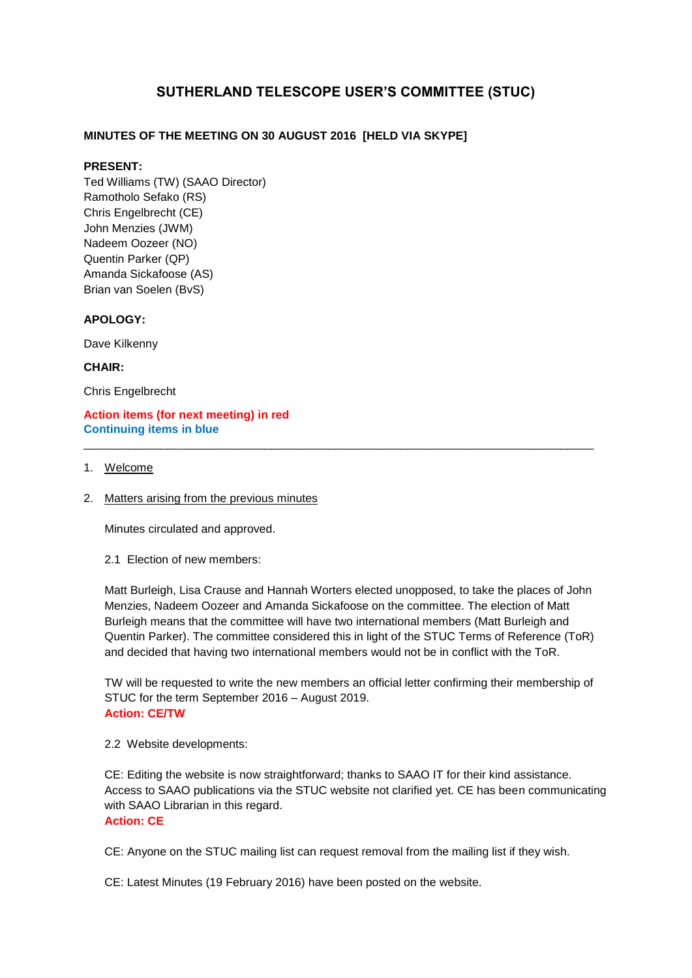# **SUTHERLAND TELESCOPE USER'S COMMITTEE (STUC)**

# **MINUTES OF THE MEETING ON 30 AUGUST 2016 [HELD VIA SKYPE]**

### **PRESENT:**

Ted Williams (TW) (SAAO Director) Ramotholo Sefako (RS) Chris Engelbrecht (CE) John Menzies (JWM) Nadeem Oozeer (NO) Quentin Parker (QP) Amanda Sickafoose (AS) Brian van Soelen (BvS)

### **APOLOGY:**

Dave Kilkenny

### **CHAIR:**

Chris Engelbrecht

### **Action items (for next meeting) in red Continuing items in blue**

### 1. Welcome

2. Matters arising from the previous minutes

Minutes circulated and approved.

2.1 Election of new members:

Matt Burleigh, Lisa Crause and Hannah Worters elected unopposed, to take the places of John Menzies, Nadeem Oozeer and Amanda Sickafoose on the committee. The election of Matt Burleigh means that the committee will have two international members (Matt Burleigh and Quentin Parker). The committee considered this in light of the STUC Terms of Reference (ToR) and decided that having two international members would not be in conflict with the ToR.

\_\_\_\_\_\_\_\_\_\_\_\_\_\_\_\_\_\_\_\_\_\_\_\_\_\_\_\_\_\_\_\_\_\_\_\_\_\_\_\_\_\_\_\_\_\_\_\_\_\_\_\_\_\_\_\_\_\_\_\_\_\_\_\_\_\_\_\_\_\_\_\_\_\_\_\_\_\_\_

TW will be requested to write the new members an official letter confirming their membership of STUC for the term September 2016 – August 2019. **Action: CE/TW**

2.2 Website developments:

CE: Editing the website is now straightforward; thanks to SAAO IT for their kind assistance. Access to SAAO publications via the STUC website not clarified yet. CE has been communicating with SAAO Librarian in this regard. **Action: CE**

CE: Anyone on the STUC mailing list can request removal from the mailing list if they wish.

CE: Latest Minutes (19 February 2016) have been posted on the website.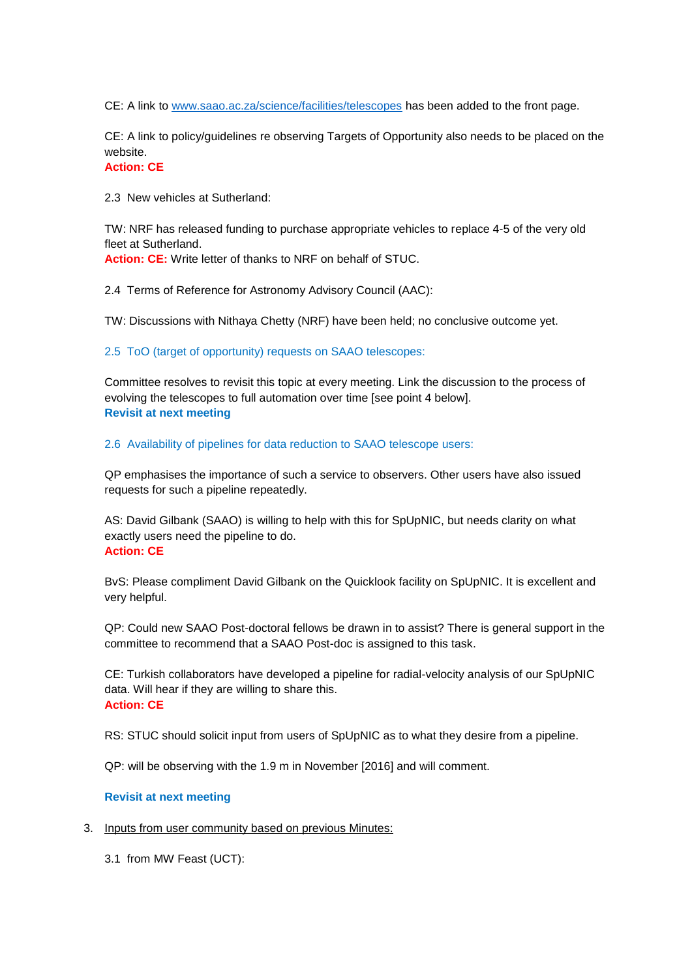CE: A link to [www.saao.ac.za/science/facilities/telescopes](http://www.saao.ac.za/science/facilities/telescopes) has been added to the front page.

CE: A link to policy/guidelines re observing Targets of Opportunity also needs to be placed on the website.

## **Action: CE**

2.3 New vehicles at Sutherland:

TW: NRF has released funding to purchase appropriate vehicles to replace 4-5 of the very old fleet at Sutherland.

**Action: CE:** Write letter of thanks to NRF on behalf of STUC.

2.4 Terms of Reference for Astronomy Advisory Council (AAC):

TW: Discussions with Nithaya Chetty (NRF) have been held; no conclusive outcome yet.

2.5 ToO (target of opportunity) requests on SAAO telescopes:

Committee resolves to revisit this topic at every meeting. Link the discussion to the process of evolving the telescopes to full automation over time [see point 4 below]. **Revisit at next meeting**

2.6 Availability of pipelines for data reduction to SAAO telescope users:

QP emphasises the importance of such a service to observers. Other users have also issued requests for such a pipeline repeatedly.

AS: David Gilbank (SAAO) is willing to help with this for SpUpNIC, but needs clarity on what exactly users need the pipeline to do. **Action: CE**

BvS: Please compliment David Gilbank on the Quicklook facility on SpUpNIC. It is excellent and very helpful.

QP: Could new SAAO Post-doctoral fellows be drawn in to assist? There is general support in the committee to recommend that a SAAO Post-doc is assigned to this task.

CE: Turkish collaborators have developed a pipeline for radial-velocity analysis of our SpUpNIC data. Will hear if they are willing to share this. **Action: CE**

RS: STUC should solicit input from users of SpUpNIC as to what they desire from a pipeline.

QP: will be observing with the 1.9 m in November [2016] and will comment.

#### **Revisit at next meeting**

3. Inputs from user community based on previous Minutes:

3.1 from MW Feast (UCT):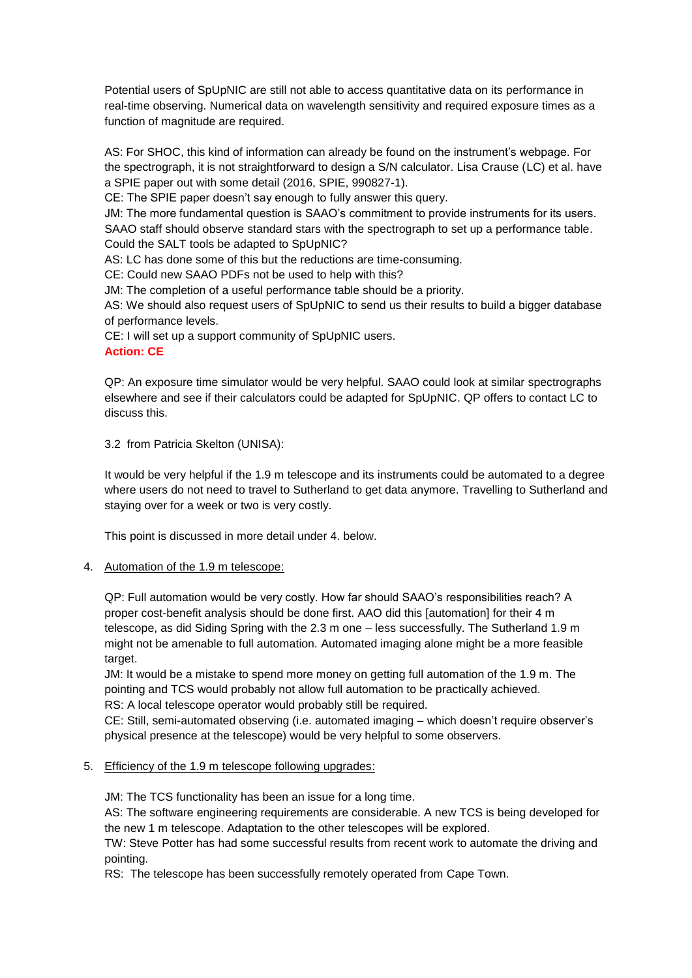Potential users of SpUpNIC are still not able to access quantitative data on its performance in real-time observing. Numerical data on wavelength sensitivity and required exposure times as a function of magnitude are required.

AS: For SHOC, this kind of information can already be found on the instrument's webpage. For the spectrograph, it is not straightforward to design a S/N calculator. Lisa Crause (LC) et al. have a SPIE paper out with some detail (2016, SPIE, 990827-1).

CE: The SPIE paper doesn't say enough to fully answer this query.

JM: The more fundamental question is SAAO's commitment to provide instruments for its users. SAAO staff should observe standard stars with the spectrograph to set up a performance table. Could the SALT tools be adapted to SpUpNIC?

AS: LC has done some of this but the reductions are time-consuming.

CE: Could new SAAO PDFs not be used to help with this?

JM: The completion of a useful performance table should be a priority.

AS: We should also request users of SpUpNIC to send us their results to build a bigger database of performance levels.

CE: I will set up a support community of SpUpNIC users.

### **Action: CE**

QP: An exposure time simulator would be very helpful. SAAO could look at similar spectrographs elsewhere and see if their calculators could be adapted for SpUpNIC. QP offers to contact LC to discuss this.

3.2 from Patricia Skelton (UNISA):

It would be very helpful if the 1.9 m telescope and its instruments could be automated to a degree where users do not need to travel to Sutherland to get data anymore. Travelling to Sutherland and staying over for a week or two is very costly.

This point is discussed in more detail under 4. below.

### 4. Automation of the 1.9 m telescope:

QP: Full automation would be very costly. How far should SAAO's responsibilities reach? A proper cost-benefit analysis should be done first. AAO did this [automation] for their 4 m telescope, as did Siding Spring with the 2.3 m one – less successfully. The Sutherland 1.9 m might not be amenable to full automation. Automated imaging alone might be a more feasible target.

JM: It would be a mistake to spend more money on getting full automation of the 1.9 m. The pointing and TCS would probably not allow full automation to be practically achieved. RS: A local telescope operator would probably still be required.

CE: Still, semi-automated observing (i.e. automated imaging – which doesn't require observer's physical presence at the telescope) would be very helpful to some observers.

### 5. Efficiency of the 1.9 m telescope following upgrades:

JM: The TCS functionality has been an issue for a long time.

AS: The software engineering requirements are considerable. A new TCS is being developed for the new 1 m telescope. Adaptation to the other telescopes will be explored.

TW: Steve Potter has had some successful results from recent work to automate the driving and pointing.

RS: The telescope has been successfully remotely operated from Cape Town.